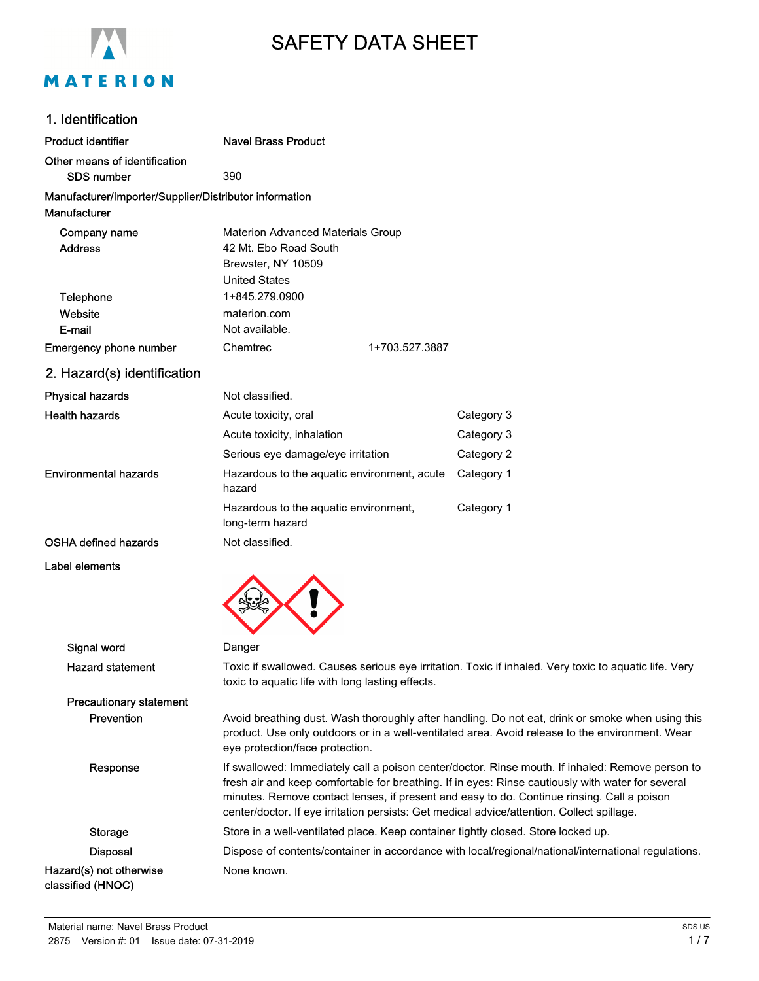

# SAFETY DATA SHEET

# 1. Identification

| Product identifier                                                     | <b>Navel Brass Product</b>                                                                                      |                                        |
|------------------------------------------------------------------------|-----------------------------------------------------------------------------------------------------------------|----------------------------------------|
| Other means of identification<br>SDS number                            | 390                                                                                                             |                                        |
| Manufacturer/Importer/Supplier/Distributor information<br>Manufacturer |                                                                                                                 |                                        |
| Company name<br><b>Address</b>                                         | <b>Materion Advanced Materials Group</b><br>42 Mt. Ebo Road South<br>Brewster, NY 10509<br><b>United States</b> |                                        |
| Telephone<br>Website<br>E-mail<br><b>Emergency phone number</b>        | 1+845.279.0900<br>materion.com<br>Not available.<br>Chemtrec<br>1+703.527.3887                                  |                                        |
| 2. Hazard(s) identification                                            |                                                                                                                 |                                        |
| <b>Physical hazards</b>                                                | Not classified.                                                                                                 |                                        |
| <b>Health hazards</b>                                                  | Acute toxicity, oral<br>Acute toxicity, inhalation<br>Serious eye damage/eye irritation                         | Category 3<br>Category 3<br>Category 2 |
| <b>Environmental hazards</b>                                           | Hazardous to the aquatic environment, acute<br>hazard                                                           | Category 1                             |
|                                                                        | Hazardous to the aquatic environment,<br>long-term hazard                                                       | Category 1                             |
| OSHA defined hazards                                                   | Not classified.                                                                                                 |                                        |
| Label elements                                                         |                                                                                                                 |                                        |

| Danger                                                                                                                                                                                                                                                                                                                                                                                            |
|---------------------------------------------------------------------------------------------------------------------------------------------------------------------------------------------------------------------------------------------------------------------------------------------------------------------------------------------------------------------------------------------------|
| Toxic if swallowed. Causes serious eye irritation. Toxic if inhaled. Very toxic to aquatic life. Very<br>toxic to aquatic life with long lasting effects.                                                                                                                                                                                                                                         |
|                                                                                                                                                                                                                                                                                                                                                                                                   |
| Avoid breathing dust. Wash thoroughly after handling. Do not eat, drink or smoke when using this<br>product. Use only outdoors or in a well-ventilated area. Avoid release to the environment. Wear<br>eye protection/face protection.                                                                                                                                                            |
| If swallowed: Immediately call a poison center/doctor. Rinse mouth. If inhaled: Remove person to<br>fresh air and keep comfortable for breathing. If in eyes: Rinse cautiously with water for several<br>minutes. Remove contact lenses, if present and easy to do. Continue rinsing. Call a poison<br>center/doctor. If eye irritation persists: Get medical advice/attention. Collect spillage. |
| Store in a well-ventilated place. Keep container tightly closed. Store locked up.                                                                                                                                                                                                                                                                                                                 |
| Dispose of contents/container in accordance with local/regional/national/international regulations.                                                                                                                                                                                                                                                                                               |
| None known.                                                                                                                                                                                                                                                                                                                                                                                       |
|                                                                                                                                                                                                                                                                                                                                                                                                   |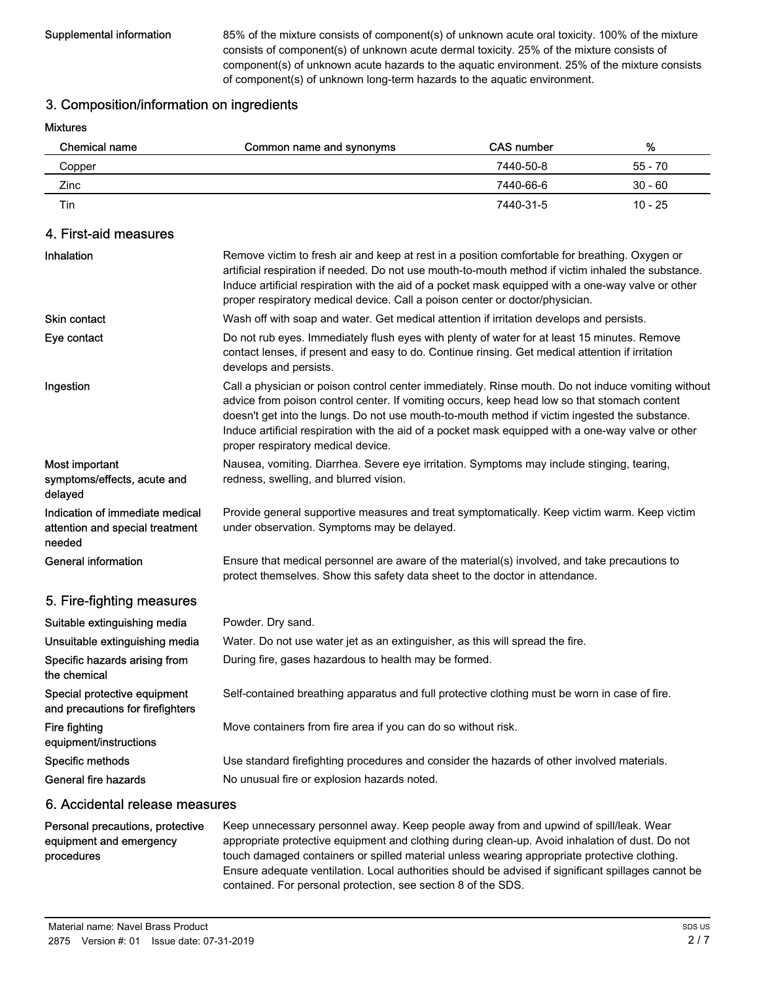Supplemental information 85% of the mixture consists of component(s) of unknown acute oral toxicity. 100% of the mixture consists of component(s) of unknown acute dermal toxicity. 25% of the mixture consists of component(s) of unknown acute hazards to the aquatic environment. 25% of the mixture consists of component(s) of unknown long-term hazards to the aquatic environment.

### 3. Composition/information on ingredients

Mixtures

| Chemical name | Common name and synonyms | <b>CAS number</b> | ℅         |
|---------------|--------------------------|-------------------|-----------|
| Copper        |                          | 7440-50-8         | 55 - 70   |
| Zinc          |                          | 7440-66-6         | $30 - 60$ |
| Tin           |                          | 7440-31-5         | $10 - 25$ |

## 4. First-aid measures

| Inhalation                                                                   | Remove victim to fresh air and keep at rest in a position comfortable for breathing. Oxygen or<br>artificial respiration if needed. Do not use mouth-to-mouth method if victim inhaled the substance.<br>Induce artificial respiration with the aid of a pocket mask equipped with a one-way valve or other<br>proper respiratory medical device. Call a poison center or doctor/physician.                                                      |
|------------------------------------------------------------------------------|--------------------------------------------------------------------------------------------------------------------------------------------------------------------------------------------------------------------------------------------------------------------------------------------------------------------------------------------------------------------------------------------------------------------------------------------------|
| <b>Skin contact</b>                                                          | Wash off with soap and water. Get medical attention if irritation develops and persists.                                                                                                                                                                                                                                                                                                                                                         |
| Eye contact                                                                  | Do not rub eyes. Immediately flush eyes with plenty of water for at least 15 minutes. Remove<br>contact lenses, if present and easy to do. Continue rinsing. Get medical attention if irritation<br>develops and persists.                                                                                                                                                                                                                       |
| Ingestion                                                                    | Call a physician or poison control center immediately. Rinse mouth. Do not induce vomiting without<br>advice from poison control center. If vomiting occurs, keep head low so that stomach content<br>doesn't get into the lungs. Do not use mouth-to-mouth method if victim ingested the substance.<br>Induce artificial respiration with the aid of a pocket mask equipped with a one-way valve or other<br>proper respiratory medical device. |
| Most important<br>symptoms/effects, acute and<br>delayed                     | Nausea, vomiting. Diarrhea. Severe eye irritation. Symptoms may include stinging, tearing,<br>redness, swelling, and blurred vision.                                                                                                                                                                                                                                                                                                             |
| Indication of immediate medical<br>attention and special treatment<br>needed | Provide general supportive measures and treat symptomatically. Keep victim warm. Keep victim<br>under observation. Symptoms may be delayed.                                                                                                                                                                                                                                                                                                      |
| <b>General information</b>                                                   | Ensure that medical personnel are aware of the material(s) involved, and take precautions to<br>protect themselves. Show this safety data sheet to the doctor in attendance.                                                                                                                                                                                                                                                                     |
| 5. Fire-fighting measures                                                    |                                                                                                                                                                                                                                                                                                                                                                                                                                                  |
| Suitable extinguishing media                                                 | Powder. Dry sand.                                                                                                                                                                                                                                                                                                                                                                                                                                |
| Unsuitable extinguishing media                                               | Water. Do not use water jet as an extinguisher, as this will spread the fire.                                                                                                                                                                                                                                                                                                                                                                    |
| Specific hazards arising from<br>the chemical                                | During fire, gases hazardous to health may be formed.                                                                                                                                                                                                                                                                                                                                                                                            |
| Special protective equipment<br>and precautions for firefighters             | Self-contained breathing apparatus and full protective clothing must be worn in case of fire.                                                                                                                                                                                                                                                                                                                                                    |
| <b>Fire fighting</b><br>equipment/instructions                               | Move containers from fire area if you can do so without risk.                                                                                                                                                                                                                                                                                                                                                                                    |
| Specific methods                                                             | Use standard firefighting procedures and consider the hazards of other involved materials.                                                                                                                                                                                                                                                                                                                                                       |
| General fire hazards                                                         | No unusual fire or explosion hazards noted.                                                                                                                                                                                                                                                                                                                                                                                                      |
|                                                                              |                                                                                                                                                                                                                                                                                                                                                                                                                                                  |

#### 6. Accidental release measures

#### Personal precautions, protective equipment and emergency procedures

Keep unnecessary personnel away. Keep people away from and upwind of spill/leak. Wear appropriate protective equipment and clothing during clean-up. Avoid inhalation of dust. Do not touch damaged containers or spilled material unless wearing appropriate protective clothing. Ensure adequate ventilation. Local authorities should be advised if significant spillages cannot be contained. For personal protection, see section 8 of the SDS.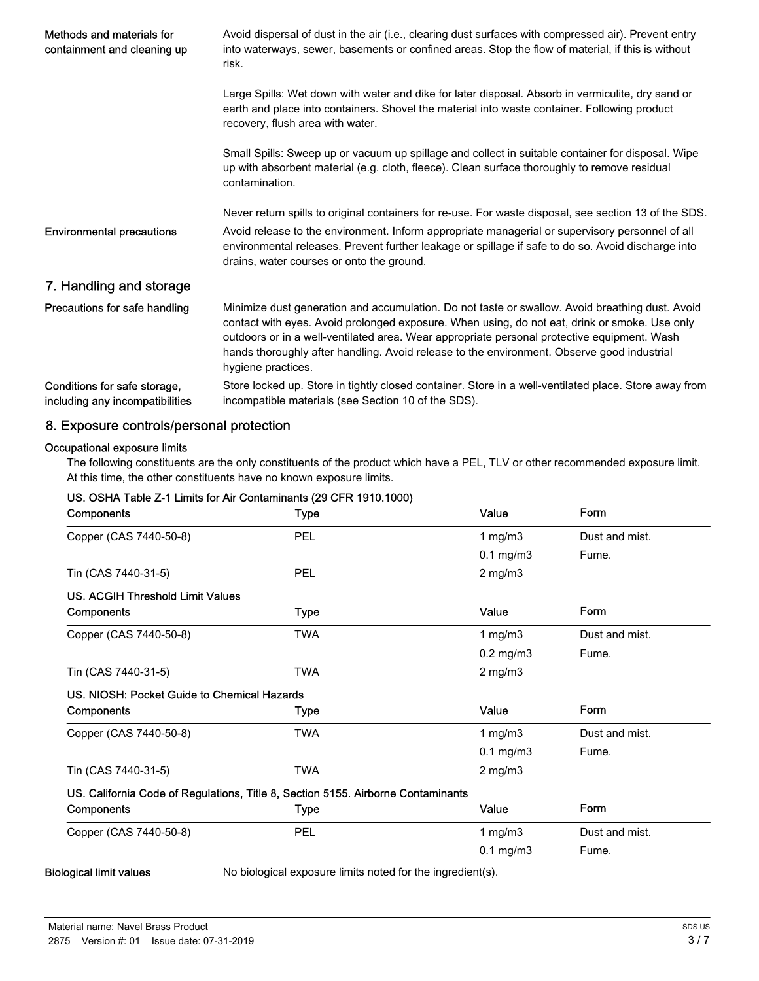| Methods and materials for<br>containment and cleaning up        | Avoid dispersal of dust in the air (i.e., clearing dust surfaces with compressed air). Prevent entry<br>into waterways, sewer, basements or confined areas. Stop the flow of material, if this is without<br>risk.                                                                                                                                                                                                  |  |  |
|-----------------------------------------------------------------|---------------------------------------------------------------------------------------------------------------------------------------------------------------------------------------------------------------------------------------------------------------------------------------------------------------------------------------------------------------------------------------------------------------------|--|--|
|                                                                 | Large Spills: Wet down with water and dike for later disposal. Absorb in vermiculite, dry sand or<br>earth and place into containers. Shovel the material into waste container. Following product<br>recovery, flush area with water.                                                                                                                                                                               |  |  |
|                                                                 | Small Spills: Sweep up or vacuum up spillage and collect in suitable container for disposal. Wipe<br>up with absorbent material (e.g. cloth, fleece). Clean surface thoroughly to remove residual<br>contamination.                                                                                                                                                                                                 |  |  |
|                                                                 | Never return spills to original containers for re-use. For waste disposal, see section 13 of the SDS.                                                                                                                                                                                                                                                                                                               |  |  |
| <b>Environmental precautions</b>                                | Avoid release to the environment. Inform appropriate managerial or supervisory personnel of all<br>environmental releases. Prevent further leakage or spillage if safe to do so. Avoid discharge into<br>drains, water courses or onto the ground.                                                                                                                                                                  |  |  |
| 7. Handling and storage                                         |                                                                                                                                                                                                                                                                                                                                                                                                                     |  |  |
| Precautions for safe handling                                   | Minimize dust generation and accumulation. Do not taste or swallow. Avoid breathing dust. Avoid<br>contact with eyes. Avoid prolonged exposure. When using, do not eat, drink or smoke. Use only<br>outdoors or in a well-ventilated area. Wear appropriate personal protective equipment. Wash<br>hands thoroughly after handling. Avoid release to the environment. Observe good industrial<br>hygiene practices. |  |  |
| Conditions for safe storage,<br>including any incompatibilities | Store locked up. Store in tightly closed container. Store in a well-ventilated place. Store away from<br>incompatible materials (see Section 10 of the SDS).                                                                                                                                                                                                                                                        |  |  |

# 8. Exposure controls/personal protection

#### Occupational exposure limits

The following constituents are the only constituents of the product which have a PEL, TLV or other recommended exposure limit. At this time, the other constituents have no known exposure limits.

| Components                                                                       | <b>Type</b> | Value          | Form           |
|----------------------------------------------------------------------------------|-------------|----------------|----------------|
| Copper (CAS 7440-50-8)                                                           | PEL         | 1 mg/m $3$     | Dust and mist. |
|                                                                                  |             | $0.1$ mg/m $3$ | Fume.          |
| Tin (CAS 7440-31-5)                                                              | PEL         | $2$ mg/m $3$   |                |
| <b>US. ACGIH Threshold Limit Values</b>                                          |             |                |                |
| Components                                                                       | <b>Type</b> | Value          | Form           |
| Copper (CAS 7440-50-8)                                                           | <b>TWA</b>  | 1 mg/m $3$     | Dust and mist. |
|                                                                                  |             | $0.2$ mg/m $3$ | Fume.          |
| Tin (CAS 7440-31-5)                                                              | <b>TWA</b>  | $2$ mg/m $3$   |                |
| US. NIOSH: Pocket Guide to Chemical Hazards                                      |             |                |                |
| Components                                                                       | Type        | Value          | Form           |
| Copper (CAS 7440-50-8)                                                           | <b>TWA</b>  | 1 mg/m $3$     | Dust and mist. |
|                                                                                  |             | $0.1$ mg/m $3$ | Fume.          |
| Tin (CAS 7440-31-5)                                                              | <b>TWA</b>  | $2$ mg/m $3$   |                |
| US. California Code of Regulations, Title 8, Section 5155. Airborne Contaminants |             |                |                |
| Components                                                                       | Type        | Value          | Form           |
| Copper (CAS 7440-50-8)                                                           | PEL         | 1 $mg/m3$      | Dust and mist. |
|                                                                                  |             | $0.1$ mg/m $3$ | Fume.          |

#### US. OSHA Table Z-1 Limits for Air Contaminants (29 CFR 1910.1000)

Biological limit values No biological exposure limits noted for the ingredient(s).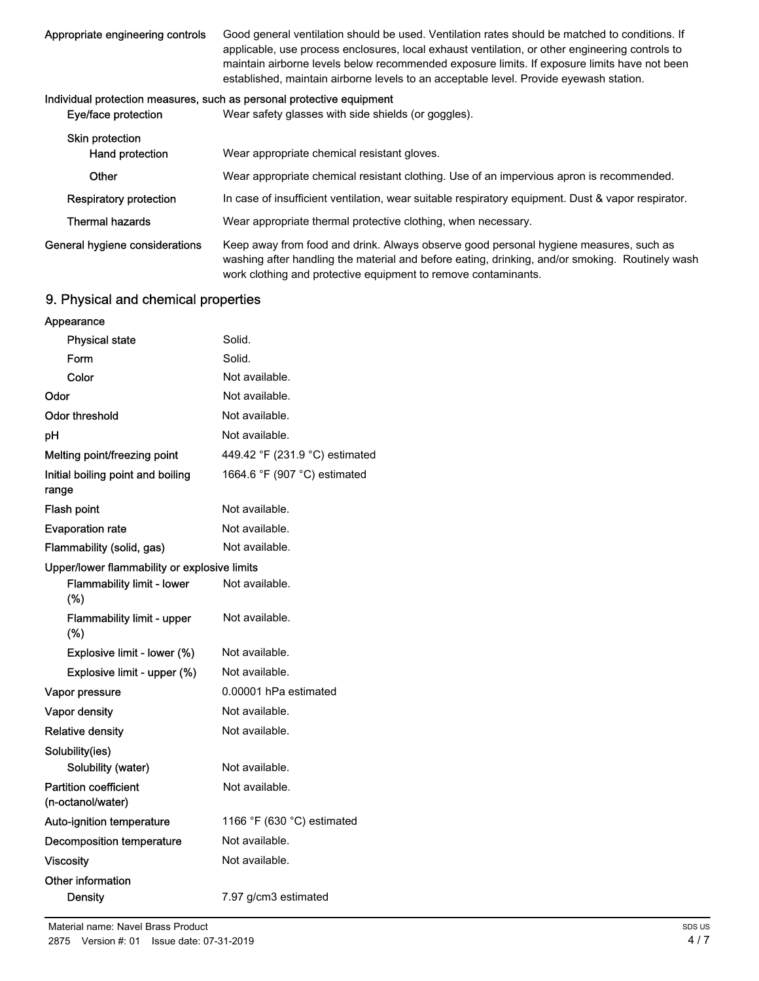| Appropriate engineering controls | Good general ventilation should be used. Ventilation rates should be matched to conditions. If  |
|----------------------------------|-------------------------------------------------------------------------------------------------|
|                                  | applicable, use process enclosures, local exhaust ventilation, or other engineering controls to |
|                                  | maintain airborne levels below recommended exposure limits. If exposure limits have not been    |
|                                  | established, maintain airborne levels to an acceptable level. Provide eyewash station.          |
|                                  |                                                                                                 |

#### Individual protection measures, such as personal protective equipment

| Eye/face protection                | Wear safety glasses with side shields (or goggles).                                                                                                                                                                                                        |
|------------------------------------|------------------------------------------------------------------------------------------------------------------------------------------------------------------------------------------------------------------------------------------------------------|
| Skin protection<br>Hand protection | Wear appropriate chemical resistant gloves.                                                                                                                                                                                                                |
| Other                              | Wear appropriate chemical resistant clothing. Use of an impervious apron is recommended.                                                                                                                                                                   |
| Respiratory protection             | In case of insufficient ventilation, wear suitable respiratory equipment. Dust & vapor respirator.                                                                                                                                                         |
| <b>Thermal hazards</b>             | Wear appropriate thermal protective clothing, when necessary.                                                                                                                                                                                              |
| General hygiene considerations     | Keep away from food and drink. Always observe good personal hygiene measures, such as<br>washing after handling the material and before eating, drinking, and/or smoking. Routinely wash<br>work clothing and protective equipment to remove contaminants. |

# 9. Physical and chemical properties

| Appearance                                        |                                |
|---------------------------------------------------|--------------------------------|
| <b>Physical state</b>                             | Solid.                         |
| Form                                              | Solid.                         |
| Color                                             | Not available.                 |
| Odor                                              | Not available.                 |
| <b>Odor threshold</b>                             | Not available.                 |
| pH                                                | Not available.                 |
| Melting point/freezing point                      | 449.42 °F (231.9 °C) estimated |
| Initial boiling point and boiling<br>range        | 1664.6 °F (907 °C) estimated   |
| Flash point                                       | Not available.                 |
| <b>Evaporation rate</b>                           | Not available.                 |
| Flammability (solid, gas)                         | Not available.                 |
| Upper/lower flammability or explosive limits      |                                |
| <b>Flammability limit - lower</b><br>(%)          | Not available.                 |
| Flammability limit - upper<br>(%)                 | Not available.                 |
| Explosive limit - lower (%)                       | Not available.                 |
| Explosive limit - upper (%)                       | Not available.                 |
| Vapor pressure                                    | 0.00001 hPa estimated          |
| Vapor density                                     | Not available.                 |
| <b>Relative density</b>                           | Not available.                 |
| Solubility(ies)                                   |                                |
| Solubility (water)                                | Not available.                 |
| <b>Partition coefficient</b><br>(n-octanol/water) | Not available.                 |
| Auto-ignition temperature                         | 1166 °F (630 °C) estimated     |
| Decomposition temperature                         | Not available.                 |
| <b>Viscosity</b>                                  | Not available.                 |
| Other information<br>Density                      | 7.97 g/cm3 estimated           |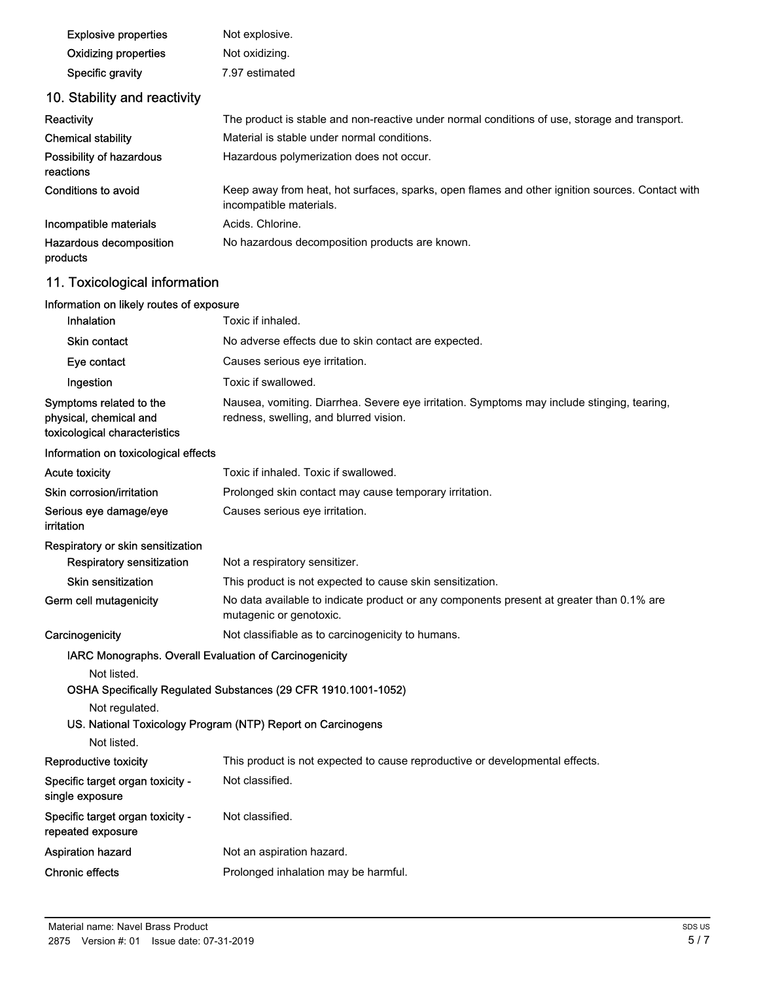| <b>Explosive properties</b>                                                             | Not explosive.                                                                                                                       |
|-----------------------------------------------------------------------------------------|--------------------------------------------------------------------------------------------------------------------------------------|
| <b>Oxidizing properties</b>                                                             | Not oxidizing.                                                                                                                       |
| Specific gravity                                                                        | 7.97 estimated                                                                                                                       |
| 10. Stability and reactivity                                                            |                                                                                                                                      |
| <b>Reactivity</b>                                                                       | The product is stable and non-reactive under normal conditions of use, storage and transport.                                        |
| <b>Chemical stability</b>                                                               | Material is stable under normal conditions.                                                                                          |
| Possibility of hazardous<br>reactions                                                   | Hazardous polymerization does not occur.                                                                                             |
| <b>Conditions to avoid</b>                                                              | Keep away from heat, hot surfaces, sparks, open flames and other ignition sources. Contact with<br>incompatible materials.           |
| Incompatible materials                                                                  | Acids. Chlorine.                                                                                                                     |
| Hazardous decomposition<br>products                                                     | No hazardous decomposition products are known.                                                                                       |
| 11. Toxicological information                                                           |                                                                                                                                      |
| Information on likely routes of exposure                                                |                                                                                                                                      |
| Inhalation                                                                              | Toxic if inhaled.                                                                                                                    |
| <b>Skin contact</b>                                                                     | No adverse effects due to skin contact are expected.                                                                                 |
| Eye contact                                                                             | Causes serious eye irritation.                                                                                                       |
| Ingestion                                                                               | Toxic if swallowed.                                                                                                                  |
| Symptoms related to the<br>physical, chemical and<br>toxicological characteristics      | Nausea, vomiting. Diarrhea. Severe eye irritation. Symptoms may include stinging, tearing,<br>redness, swelling, and blurred vision. |
| Information on toxicological effects                                                    |                                                                                                                                      |
| <b>Acute toxicity</b>                                                                   | Toxic if inhaled. Toxic if swallowed.                                                                                                |
| Skin corrosion/irritation                                                               | Prolonged skin contact may cause temporary irritation.                                                                               |
| Serious eye damage/eye<br><b>irritation</b>                                             | Causes serious eye irritation.                                                                                                       |
| Respiratory or skin sensitization                                                       |                                                                                                                                      |
| Respiratory sensitization                                                               | Not a respiratory sensitizer.                                                                                                        |
| <b>Skin sensitization</b>                                                               | This product is not expected to cause skin sensitization.                                                                            |
| Germ cell mutagenicity                                                                  | No data available to indicate product or any components present at greater than 0.1% are<br>mutagenic or genotoxic.                  |
| Carcinogenicity                                                                         | Not classifiable as to carcinogenicity to humans.                                                                                    |
| IARC Monographs. Overall Evaluation of Carcinogenicity<br>Not listed.<br>Not regulated. | OSHA Specifically Regulated Substances (29 CFR 1910.1001-1052)<br>US. National Toxicology Program (NTP) Report on Carcinogens        |
| Not listed.                                                                             |                                                                                                                                      |
| Reproductive toxicity                                                                   | This product is not expected to cause reproductive or developmental effects.                                                         |
| Specific target organ toxicity -<br>single exposure                                     | Not classified.                                                                                                                      |
| Specific target organ toxicity -<br>repeated exposure                                   | Not classified.                                                                                                                      |
| <b>Aspiration hazard</b>                                                                | Not an aspiration hazard.                                                                                                            |
| <b>Chronic effects</b>                                                                  | Prolonged inhalation may be harmful.                                                                                                 |
|                                                                                         |                                                                                                                                      |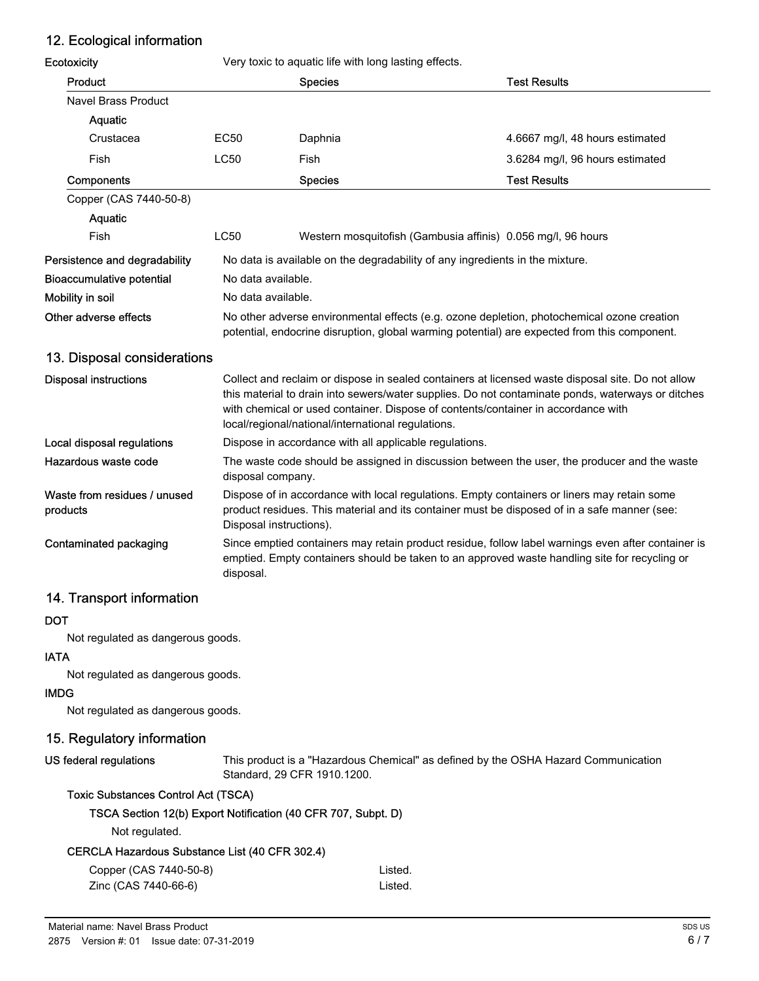# 12. Ecological information

| Ecotoxicity                              |                                                                                                                                                                                            | Very toxic to aquatic life with long lasting effects.                                                                                                                                                                                                                                                                                             |                                 |
|------------------------------------------|--------------------------------------------------------------------------------------------------------------------------------------------------------------------------------------------|---------------------------------------------------------------------------------------------------------------------------------------------------------------------------------------------------------------------------------------------------------------------------------------------------------------------------------------------------|---------------------------------|
| Product                                  |                                                                                                                                                                                            | <b>Species</b>                                                                                                                                                                                                                                                                                                                                    | <b>Test Results</b>             |
| <b>Navel Brass Product</b>               |                                                                                                                                                                                            |                                                                                                                                                                                                                                                                                                                                                   |                                 |
| Aquatic                                  |                                                                                                                                                                                            |                                                                                                                                                                                                                                                                                                                                                   |                                 |
| Crustacea                                | <b>EC50</b>                                                                                                                                                                                | Daphnia                                                                                                                                                                                                                                                                                                                                           | 4.6667 mg/l, 48 hours estimated |
| Fish                                     | <b>LC50</b>                                                                                                                                                                                | Fish                                                                                                                                                                                                                                                                                                                                              | 3.6284 mg/l, 96 hours estimated |
| Components                               |                                                                                                                                                                                            | <b>Species</b>                                                                                                                                                                                                                                                                                                                                    | <b>Test Results</b>             |
| Copper (CAS 7440-50-8)                   |                                                                                                                                                                                            |                                                                                                                                                                                                                                                                                                                                                   |                                 |
| Aquatic                                  |                                                                                                                                                                                            |                                                                                                                                                                                                                                                                                                                                                   |                                 |
| Fish                                     | <b>LC50</b>                                                                                                                                                                                | Western mosquitofish (Gambusia affinis) 0.056 mg/l, 96 hours                                                                                                                                                                                                                                                                                      |                                 |
| Persistence and degradability            | No data is available on the degradability of any ingredients in the mixture.                                                                                                               |                                                                                                                                                                                                                                                                                                                                                   |                                 |
| <b>Bioaccumulative potential</b>         | No data available.                                                                                                                                                                         |                                                                                                                                                                                                                                                                                                                                                   |                                 |
| Mobility in soil                         | No data available.                                                                                                                                                                         |                                                                                                                                                                                                                                                                                                                                                   |                                 |
| Other adverse effects                    | No other adverse environmental effects (e.g. ozone depletion, photochemical ozone creation<br>potential, endocrine disruption, global warming potential) are expected from this component. |                                                                                                                                                                                                                                                                                                                                                   |                                 |
| 13. Disposal considerations              |                                                                                                                                                                                            |                                                                                                                                                                                                                                                                                                                                                   |                                 |
| <b>Disposal instructions</b>             |                                                                                                                                                                                            | Collect and reclaim or dispose in sealed containers at licensed waste disposal site. Do not allow<br>this material to drain into sewers/water supplies. Do not contaminate ponds, waterways or ditches<br>with chemical or used container. Dispose of contents/container in accordance with<br>local/regional/national/international regulations. |                                 |
| Local disposal regulations               | Dispose in accordance with all applicable regulations.                                                                                                                                     |                                                                                                                                                                                                                                                                                                                                                   |                                 |
| Hazardous waste code                     | disposal company.                                                                                                                                                                          | The waste code should be assigned in discussion between the user, the producer and the waste                                                                                                                                                                                                                                                      |                                 |
| Waste from residues / unused<br>products | Disposal instructions).                                                                                                                                                                    | Dispose of in accordance with local regulations. Empty containers or liners may retain some<br>product residues. This material and its container must be disposed of in a safe manner (see:                                                                                                                                                       |                                 |
| Contaminated packaging                   | disposal.                                                                                                                                                                                  | Since emptied containers may retain product residue, follow label warnings even after container is<br>emptied. Empty containers should be taken to an approved waste handling site for recycling or                                                                                                                                               |                                 |

# 14. Transport information

#### DOT

Not regulated as dangerous goods.

#### IATA

Not regulated as dangerous goods.

#### IMDG

Not regulated as dangerous goods.

#### 15. Regulatory information

#### US federal regulations

This product is a "Hazardous Chemical" as defined by the OSHA Hazard Communication Standard, 29 CFR 1910.1200.

#### Toxic Substances Control Act (TSCA)

#### TSCA Section 12(b) Export Notification (40 CFR 707, Subpt. D)

Not regulated.

#### CERCLA Hazardous Substance List (40 CFR 302.4)

| Copper (CAS 7440-50-8) | Listed. |
|------------------------|---------|
| Zinc (CAS 7440-66-6)   | Listed. |